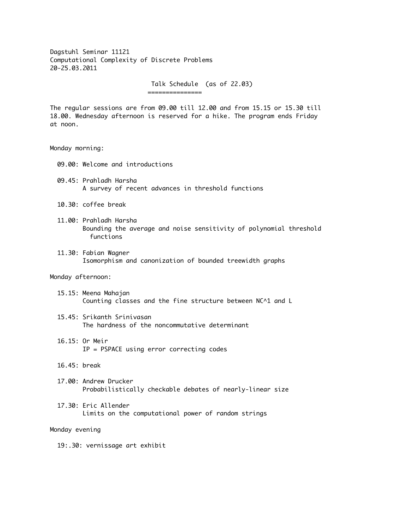Dagstuhl Seminar 11121 Computational Complexity of Discrete Problems 20-25.03.2011

> Talk Schedule (as of 22.03) ===============

The regular sessions are from 09.00 till 12.00 and from 15.15 or 15.30 till 18.00. Wednesday afternoon is reserved for a hike. The program ends Friday at noon.

## Monday morning:

- 09.00: Welcome and introductions
- 09.45: Prahladh Harsha A survey of recent advances in threshold functions
- 10.30: coffee break
- 11.00: Prahladh Harsha Bounding the average and noise sensitivity of polynomial threshold functions
- 11.30: Fabian Wagner Isomorphism and canonization of bounded treewidth graphs

## Monday afternoon:

- 15.15: Meena Mahajan Counting classes and the fine structure between NC^1 and L
- 15.45: Srikanth Srinivasan The hardness of the noncommutative determinant
- 16.15: Or Meir IP = PSPACE using error correcting codes
- 16.45: break
- 17.00: Andrew Drucker Probabilistically checkable debates of nearly-linear size
- 17.30: Eric Allender Limits on the computational power of random strings

## Monday evening

19:.30: vernissage art exhibit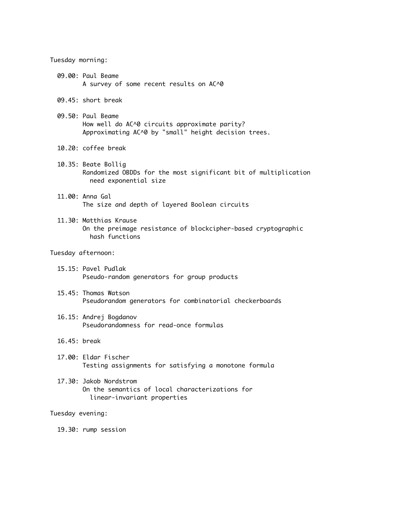Tuesday morning:

- 09.00: Paul Beame A survey of some recent results on AC^0
- 09.45: short break
- 09.50: Paul Beame How well do AC^0 circuits approximate parity? Approximating AC^0 by "small" height decision trees.
- 10.20: coffee break
- 10.35: Beate Bollig Randomized OBDDs for the most significant bit of multiplication need exponential size
- 11.00: Anna Gal The size and depth of layered Boolean circuits
- 11.30: Matthias Krause On the preimage resistance of blockcipher-based cryptographic hash functions

Tuesday afternoon:

- 15.15: Pavel Pudlak Pseudo-random generators for group products
- 15.45: Thomas Watson Pseudorandom generators for combinatorial checkerboards
- 16.15: Andrej Bogdanov Pseudorandomness for read-once formulas
- 16.45: break
- 17.00: Eldar Fischer Testing assignments for satisfying a monotone formula
- 17.30: Jakob Nordstrom On the semantics of local characterizations for linear-invariant properties

## Tuesday evening:

19.30: rump session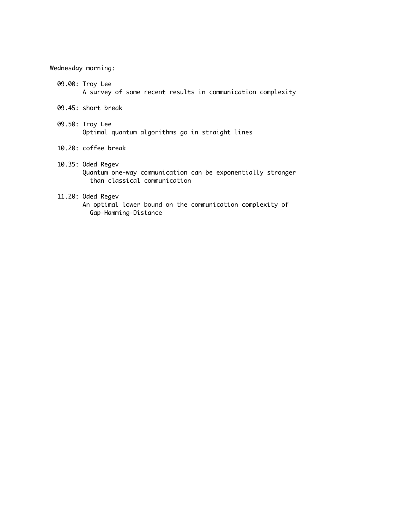Wednesday morning:

- 09.00: Troy Lee A survey of some recent results in communication complexity
- 09.45: short break
- 09.50: Troy Lee Optimal quantum algorithms go in straight lines
- 10.20: coffee break
- 10.35: Oded Regev Quantum one-way communication can be exponentially stronger than classical communication
- 11.20: Oded Regev An optimal lower bound on the communication complexity of Gap-Hamming-Distance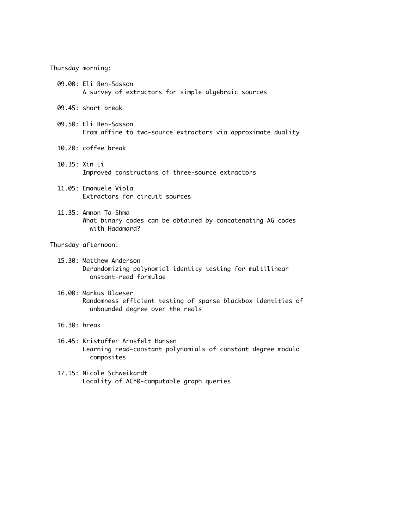Thursday morning:

- 09.00: Eli Ben-Sasson A survey of extractors for simple algebraic sources
- 09.45: short break
- 09.50: Eli Ben-Sasson From affine to two-source extractors via approximate duality
- 10.20: coffee break
- 10.35: Xin Li Improved constructons of three-source extractors
- 11.05: Emanuele Viola Extractors for circuit sources
- 11.35: Amnon Ta-Shma What binary codes can be obtained by concatenating AG codes with Hadamard?

Thursday afternoon:

- 15.30: Matthew Anderson Derandomizing polynomial identity testing for multilinear onstant-read formulae
- 16.00: Markus Blaeser Randomness efficient testing of sparse blackbox identities of unbounded degree over the reals
- 16.30: break
- 16.45: Kristoffer Arnsfelt Hansen Learning read-constant polynomials of constant degree modulo composites
- 17.15: Nicole Schweikardt Locality of AC^0-computable graph queries